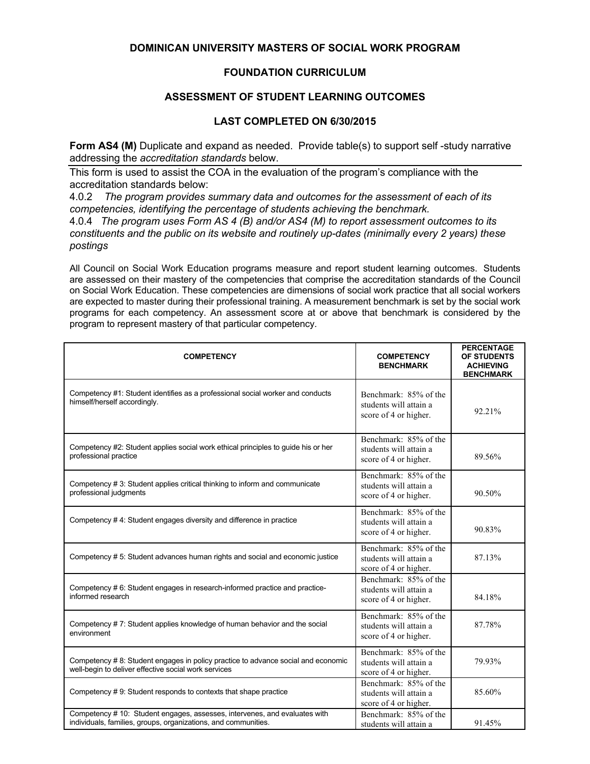## **DOMINICAN UNIVERSITY MASTERS OF SOCIAL WORK PROGRAM**

## **FOUNDATION CURRICULUM**

## **ASSESSMENT OF STUDENT LEARNING OUTCOMES**

## **LAST COMPLETED ON 6/30/2015**

**Form AS4 (M)** Duplicate and expand as needed. Provide table(s) to support self-study narrative addressing the *accreditation standards* below.

This form is used to assist the COA in the evaluation of the program's compliance with the accreditation standards below:

4.0.2 *The program provides summary data and outcomes for the assessment of each of its competencies, identifying the percentage of students achieving the benchmark.*

4.0.4 *The program uses Form AS 4 (B) and/or AS4 (M) to report assessment outcomes to its constituents and the public on its website and routinely up-dates (minimally every 2 years) these postings*

All Council on Social Work Education programs measure and report student learning outcomes. Students are assessed on their mastery of the competencies that comprise the accreditation standards of the Council on Social Work Education. These competencies are dimensions of social work practice that all social workers are expected to master during their professional training. A measurement benchmark is set by the social work programs for each competency. An assessment score at or above that benchmark is considered by the program to represent mastery of that particular competency.

| <b>COMPETENCY</b>                                                                                                                            | <b>COMPETENCY</b><br><b>BENCHMARK</b>                                    | <b>PERCENTAGE</b><br>OF STUDENTS<br><b>ACHIEVING</b><br><b>BENCHMARK</b> |
|----------------------------------------------------------------------------------------------------------------------------------------------|--------------------------------------------------------------------------|--------------------------------------------------------------------------|
| Competency #1: Student identifies as a professional social worker and conducts<br>himself/herself accordingly.                               | Benchmark: 85% of the<br>students will attain a<br>score of 4 or higher. | 92.21%                                                                   |
| Competency #2: Student applies social work ethical principles to guide his or her<br>professional practice                                   | Benchmark: 85% of the<br>students will attain a<br>score of 4 or higher. | 89.56%                                                                   |
| Competency # 3: Student applies critical thinking to inform and communicate<br>professional judgments                                        | Benchmark: 85% of the<br>students will attain a<br>score of 4 or higher. | 90.50%                                                                   |
| Competency #4: Student engages diversity and difference in practice                                                                          | Benchmark: 85% of the<br>students will attain a<br>score of 4 or higher. | 90.83%                                                                   |
| Competency # 5: Student advances human rights and social and economic justice                                                                | Benchmark: 85% of the<br>students will attain a<br>score of 4 or higher. | 87.13%                                                                   |
| Competency # 6: Student engages in research-informed practice and practice-<br>informed research                                             | Benchmark: 85% of the<br>students will attain a<br>score of 4 or higher. | 84.18%                                                                   |
| Competency #7: Student applies knowledge of human behavior and the social<br>environment                                                     | Benchmark: 85% of the<br>students will attain a<br>score of 4 or higher. | 87.78%                                                                   |
| Competency # 8: Student engages in policy practice to advance social and economic<br>well-begin to deliver effective social work services    | Benchmark: 85% of the<br>students will attain a<br>score of 4 or higher. | 79.93%                                                                   |
| Competency #9: Student responds to contexts that shape practice                                                                              | Benchmark: 85% of the<br>students will attain a<br>score of 4 or higher. | 85.60%                                                                   |
| Competency # 10: Student engages, assesses, intervenes, and evaluates with<br>individuals, families, groups, organizations, and communities. | Benchmark: 85% of the<br>students will attain a                          | 91.45%                                                                   |